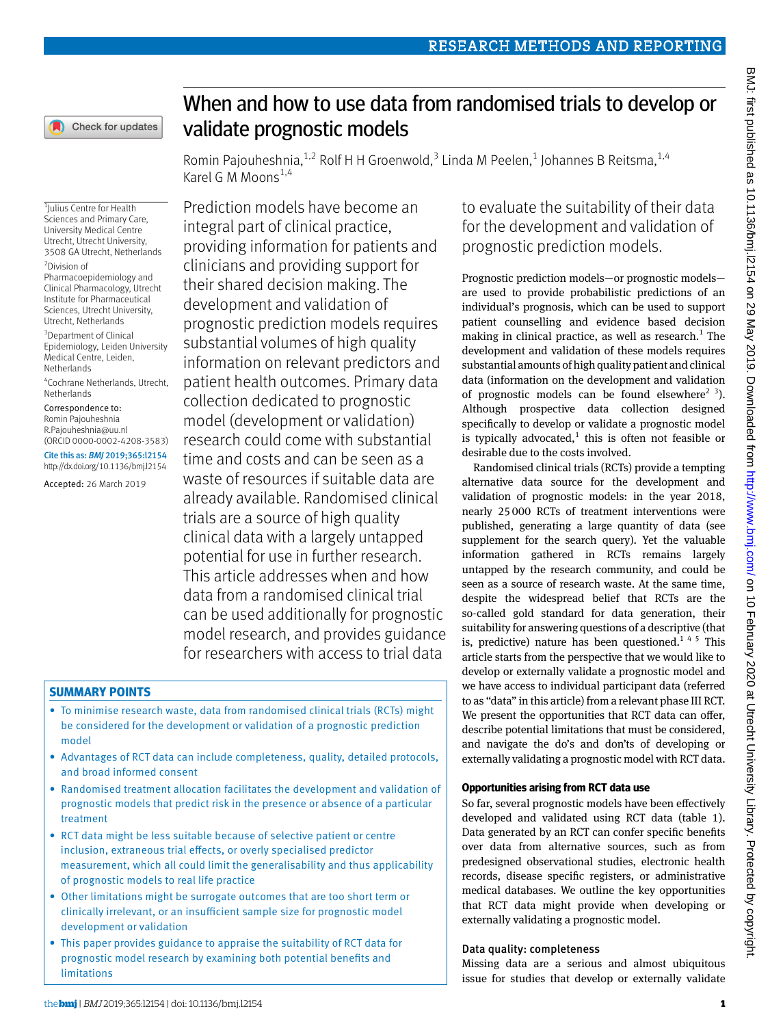

# When and how to use data from randomised trials to develop or validate prognostic models

Romin Pajouheshnia,  $^{1,2}$  Rolf H H Groenwold,  $^3$  Linda M Peelen,  $^1$  Johannes B Reitsma,  $^{1,4}$ Karel G M Moons $^{1,4}$ 

1 Julius Centre for Health Sciences and Primary Care, University Medical Centre Utrecht, Utrecht University, 3508 GA Utrecht, Netherlands

2 Division of Pharmacoepidemiology and Clinical Pharmacology, Utrecht Institute for Pharmaceutical Sciences, Utrecht University, Utrecht, Netherlands

<sup>3</sup>Department of Clinical Epidemiology, Leiden University Medical Centre, Leiden, Netherlands

4 Cochrane Netherlands, Utrecht, Netherlands

Correspondence to: Romin Pajouheshnia [R.Pajouheshnia@uu.nl](mailto:R.Pajouheshnia@uu.nl) [\(ORCID 0000-0002-4208-3583](http://orcid.org/0000-0002-4208-3583)) Cite this as: *BMJ* 2019;365:l2154

http://dx.doi.org/10.1136/bmj.l2154

Accepted: 26 March 2019

Prediction models have become an integral part of clinical practice, providing information for patients and clinicians and providing support for their shared decision making. The development and validation of prognostic prediction models requires substantial volumes of high quality information on relevant predictors and patient health outcomes. Primary data collection dedicated to prognostic model (development or validation) research could come with substantial time and costs and can be seen as a waste of resources if suitable data are already available. Randomised clinical trials are a source of high quality clinical data with a largely untapped potential for use in further research. This article addresses when and how data from a randomised clinical trial can be used additionally for prognostic model research, and provides guidance for researchers with access to trial data

# **Summary points**

- To minimise research waste, data from randomised clinical trials (RCTs) might be considered for the development or validation of a prognostic prediction model
- Advantages of RCT data can include completeness, quality, detailed protocols, and broad informed consent
- Randomised treatment allocation facilitates the development and validation of prognostic models that predict risk in the presence or absence of a particular treatment
- RCT data might be less suitable because of selective patient or centre inclusion, extraneous trial effects, or overly specialised predictor measurement, which all could limit the generalisability and thus applicability of prognostic models to real life practice
- Other limitations might be surrogate outcomes that are too short term or clinically irrelevant, or an insufficient sample size for prognostic model development or validation
- This paper provides guidance to appraise the suitability of RCT data for prognostic model research by examining both potential benefits and limitations

to evaluate the suitability of their data for the development and validation of prognostic prediction models.

Prognostic prediction models—or prognostic models are used to provide probabilistic predictions of an individual's prognosis, which can be used to support patient counselling and evidence based decision making in clinical practice, as well as research. $1$  The development and validation of these models requires substantial amounts of high quality patient and clinical data (information on the development and validation of prognostic models can be found elsewhere<sup>2 3</sup>). Although prospective data collection designed specifically to develop or validate a prognostic model is typically advocated, $<sup>1</sup>$  this is often not feasible or</sup> desirable due to the costs involved.

Randomised clinical trials (RCTs) provide a tempting alternative data source for the development and validation of prognostic models: in the year 2018, nearly 25000 RCTs of treatment interventions were published, generating a large quantity of data (see supplement for the search query). Yet the valuable information gathered in RCTs remains largely untapped by the research community, and could be seen as a source of research waste. At the same time, despite the widespread belief that RCTs are the so-called gold standard for data generation, their suitability for answering questions of a descriptive (that is, predictive) nature has been questioned.<sup>145</sup> This article starts from the perspective that we would like to develop or externally validate a prognostic model and we have access to individual participant data (referred to as "data" in this article) from a relevant phase III RCT. We present the opportunities that RCT data can offer, describe potential limitations that must be considered, and navigate the do's and don'ts of developing or externally validating a prognostic model with RCT data.

# **Opportunities arising from RCT data use**

So far, several prognostic models have been effectively developed and validated using RCT data (table 1). Data generated by an RCT can confer specific benefits over data from alternative sources, such as from predesigned observational studies, electronic health records, disease specific registers, or administrative medical databases. We outline the key opportunities that RCT data might provide when developing or externally validating a prognostic model.

# Data quality: completeness

Missing data are a serious and almost ubiquitous issue for studies that develop or externally validate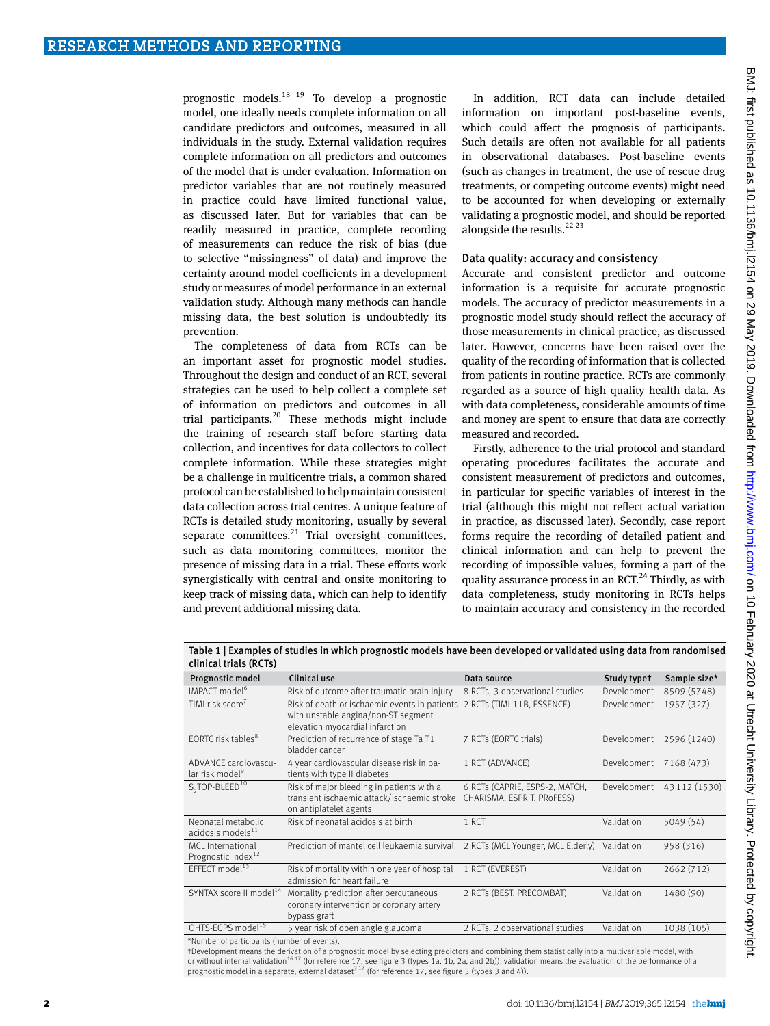prognostic models.18 19 To develop a prognostic model, one ideally needs complete information on all candidate predictors and outcomes, measured in all individuals in the study. External validation requires complete information on all predictors and outcomes of the model that is under evaluation. Information on predictor variables that are not routinely measured in practice could have limited functional value, as discussed later. But for variables that can be readily measured in practice, complete recording of measurements can reduce the risk of bias (due to selective "missingness" of data) and improve the certainty around model coefficients in a development study or measures of model performance in an external validation study. Although many methods can handle missing data, the best solution is undoubtedly its prevention.

The completeness of data from RCTs can be an important asset for prognostic model studies. Throughout the design and conduct of an RCT, several strategies can be used to help collect a complete set of information on predictors and outcomes in all trial participants.<sup>20</sup> These methods might include the training of research staff before starting data collection, and incentives for data collectors to collect complete information. While these strategies might be a challenge in multicentre trials, a common shared protocol can be established to help maintain consistent data collection across trial centres. A unique feature of RCTs is detailed study monitoring, usually by several separate committees.<sup>21</sup> Trial oversight committees, such as data monitoring committees, monitor the presence of missing data in a trial. These efforts work synergistically with central and onsite monitoring to keep track of missing data, which can help to identify and prevent additional missing data.

In addition, RCT data can include detailed information on important post-baseline events, which could affect the prognosis of participants. Such details are often not available for all patients in observational databases. Post-baseline events (such as changes in treatment, the use of rescue drug treatments, or competing outcome events) might need to be accounted for when developing or externally validating a prognostic model, and should be reported alongside the results. $2223$ 

#### Data quality: accuracy and consistency

Accurate and consistent predictor and outcome information is a requisite for accurate prognostic models. The accuracy of predictor measurements in a prognostic model study should reflect the accuracy of those measurements in clinical practice, as discussed later. However, concerns have been raised over the quality of the recording of information that is collected from patients in routine practice. RCTs are commonly regarded as a source of high quality health data. As with data completeness, considerable amounts of time and money are spent to ensure that data are correctly measured and recorded.

Firstly, adherence to the trial protocol and standard operating procedures facilitates the accurate and consistent measurement of predictors and outcomes, in particular for specific variables of interest in the trial (although this might not reflect actual variation in practice, as discussed later). Secondly, case report forms require the recording of detailed patient and clinical information and can help to prevent the recording of impossible values, forming a part of the quality assurance process in an RCT. $^{24}$  Thirdly, as with data completeness, study monitoring in RCTs helps to maintain accuracy and consistency in the recorded

Table 1 | Examples of studies in which prognostic models have been developed or validated using data from randomised clinical trials (RCTs) Prognostic model Clinical use Data source Data source Study type† Sample size\* IMPACT model<sup>6</sup> Risk of outcome after traumatic brain injury 8 RCTs, 3 observational studies Development 8509 (5748) TIMI risk score<sup>7</sup> Risk of death or ischaemic events in patients 2 RCTs (TIMI 11B, ESSENCE) Development 1957 (327) with unstable angina/non-ST segment elevation myocardial infarction EORTC risk tables<sup>8</sup> Prediction of recurrence of stage Ta T1 bladder cancer 7 RCTs (EORTC trials) Development 2596 (1240) ADVANCE cardiovascular risk model<sup>9</sup> 4 year cardiovascular disease risk in patients with type II diabetes 1 RCT (ADVANCE) Development 7168 (473) S<sub>2</sub>TOP-BLEED<sup>10</sup> Risk of major bleeding in patients with a transient ischaemic attack/ischaemic stroke on antiplatelet agents 6 RCTs (CAPRIE, ESPS-2, MATCH, CHARISMA ESPRIT PROFESS) Development 43 112 (1530) Neonatal metabolic  $acidos$ is models $^{11}$ Risk of neonatal acidosis at birth 1 RCT Validation 5049 (54) MCL International Prognostic Index Prediction of mantel cell leukaemia survival 2 RCTs (MCL Younger, MCL Elderly) Validation 958 (316) EFFECT model<sup>13</sup> Risk of mortality within one year of hospital admission for heart failure 1 RCT (EVEREST) Validation 2662 (712) SYNTAX score II model<sup>14</sup> Mortality prediction after percutaneous coronary intervention or coronary artery bypass graft 2 RCTs (BEST, PRECOMBAT) Validation 1480 (90) OHTS-EGPS model<sup>15</sup> 5 year risk of open angle glaucoma 2 RCTs, 2 observational studies Validation 1038 (105) \*Number of participants (number of events).

†Development means the derivation of a prognostic model by selecting predictors and combining them statistically into a multivariable model, with or without internal validation<sup>16 17</sup> (for reference 17, see figure 3 (types 1a, 1b, 2a, and 2b)); validation means the evaluation of the performance of a prognostic model in a separate, external dataset<sup>317</sup> (for reference 17, see figure 3 (types 3 and 4)).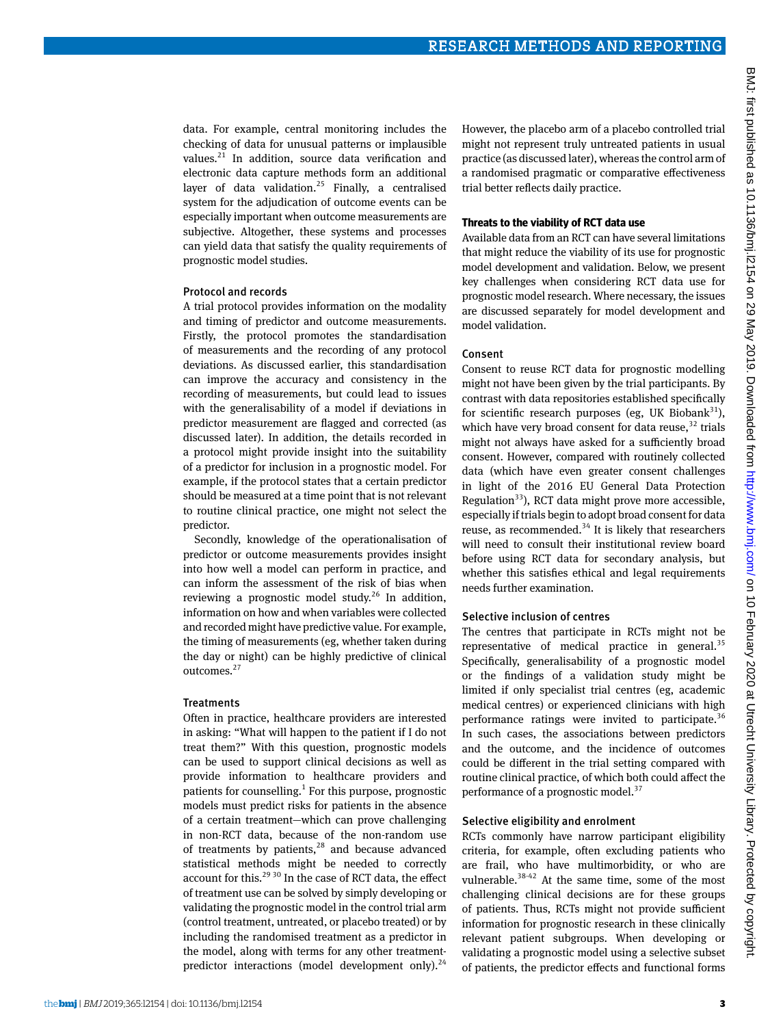data. For example, central monitoring includes the checking of data for unusual patterns or implausible values.<sup>21</sup> In addition, source data verification and electronic data capture methods form an additional layer of data validation.<sup>25</sup> Finally, a centralised system for the adjudication of outcome events can be especially important when outcome measurements are subjective. Altogether, these systems and processes can yield data that satisfy the quality requirements of prognostic model studies.

#### Protocol and records

A trial protocol provides information on the modality and timing of predictor and outcome measurements. Firstly, the protocol promotes the standardisation of measurements and the recording of any protocol deviations. As discussed earlier, this standardisation can improve the accuracy and consistency in the recording of measurements, but could lead to issues with the generalisability of a model if deviations in predictor measurement are flagged and corrected (as discussed later). In addition, the details recorded in a protocol might provide insight into the suitability of a predictor for inclusion in a prognostic model. For example, if the protocol states that a certain predictor should be measured at a time point that is not relevant to routine clinical practice, one might not select the predictor.

Secondly, knowledge of the operationalisation of predictor or outcome measurements provides insight into how well a model can perform in practice, and can inform the assessment of the risk of bias when reviewing a prognostic model study.<sup>26</sup> In addition, information on how and when variables were collected and recorded might have predictive value. For example, the timing of measurements (eg, whether taken during the day or night) can be highly predictive of clinical outcomes.27

#### **Treatments**

Often in practice, healthcare providers are interested in asking: "What will happen to the patient if I do not treat them?" With this question, prognostic models can be used to support clinical decisions as well as provide information to healthcare providers and patients for counselling.<sup>1</sup> For this purpose, prognostic models must predict risks for patients in the absence of a certain treatment—which can prove challenging in non-RCT data, because of the non-random use of treatments by patients, $28$  and because advanced statistical methods might be needed to correctly account for this.<sup>29 30</sup> In the case of RCT data, the effect of treatment use can be solved by simply developing or validating the prognostic model in the control trial arm (control treatment, untreated, or placebo treated) or by including the randomised treatment as a predictor in the model, along with terms for any other treatmentpredictor interactions (model development only). $24$ 

However, the placebo arm of a placebo controlled trial might not represent truly untreated patients in usual practice (as discussed later), whereas the control arm of a randomised pragmatic or comparative effectiveness trial better reflects daily practice.

#### **Threats to the viability of RCT data use**

Available data from an RCT can have several limitations that might reduce the viability of its use for prognostic model development and validation. Below, we present key challenges when considering RCT data use for prognostic model research. Where necessary, the issues are discussed separately for model development and model validation.

#### Consent

Consent to reuse RCT data for prognostic modelling might not have been given by the trial participants. By contrast with data repositories established specifically for scientific research purposes (eg, UK Biobank $31$ ), which have very broad consent for data reuse,  $32$  trials might not always have asked for a sufficiently broad consent. However, compared with routinely collected data (which have even greater consent challenges in light of the 2016 EU General Data Protection Regulation $33$ ), RCT data might prove more accessible, especially if trials begin to adopt broad consent for data reuse, as recommended. $34$  It is likely that researchers will need to consult their institutional review board before using RCT data for secondary analysis, but whether this satisfies ethical and legal requirements needs further examination.

### Selective inclusion of centres

The centres that participate in RCTs might not be representative of medical practice in general. $35$ Specifically, generalisability of a prognostic model or the findings of a validation study might be limited if only specialist trial centres (eg, academic medical centres) or experienced clinicians with high performance ratings were invited to participate.<sup>36</sup> In such cases, the associations between predictors and the outcome, and the incidence of outcomes could be different in the trial setting compared with routine clinical practice, of which both could affect the performance of a prognostic model. $37$ 

#### Selective eligibility and enrolment

RCTs commonly have narrow participant eligibility criteria, for example, often excluding patients who are frail, who have multimorbidity, or who are vulnerable.<sup>38-42</sup> At the same time, some of the most challenging clinical decisions are for these groups of patients. Thus, RCTs might not provide sufficient information for prognostic research in these clinically relevant patient subgroups. When developing or validating a prognostic model using a selective subset of patients, the predictor effects and functional forms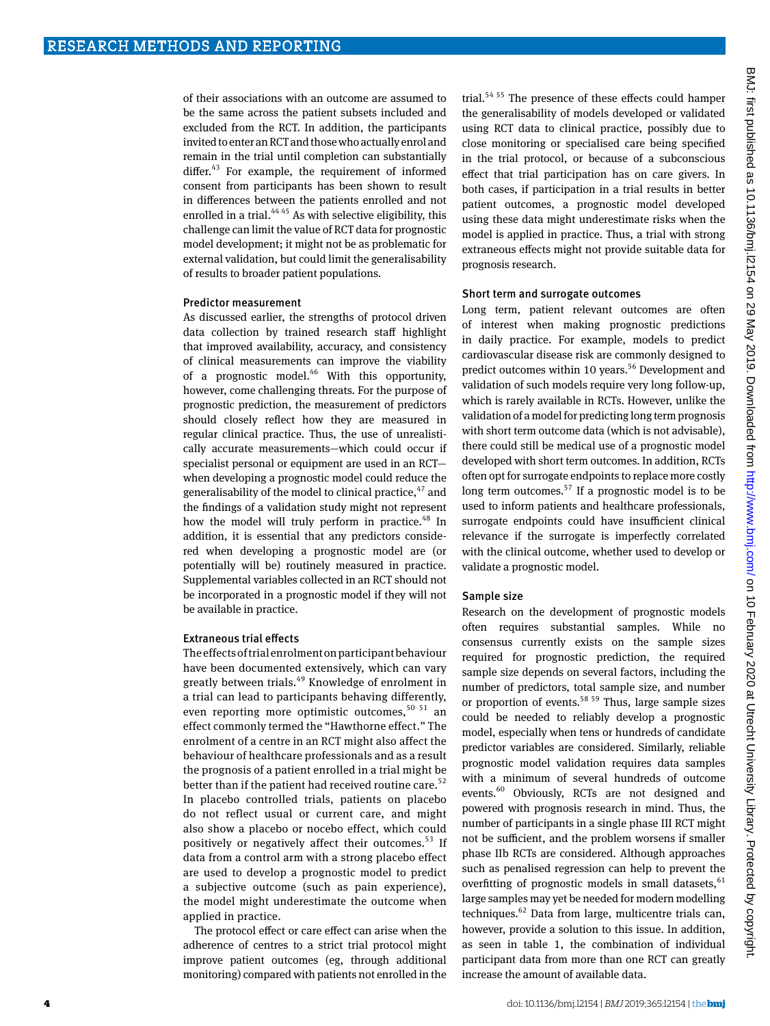of their associations with an outcome are assumed to be the same across the patient subsets included and excluded from the RCT. In addition, the participants invited to enter an RCT and those who actually enrol and remain in the trial until completion can substantially differ. $43$  For example, the requirement of informed consent from participants has been shown to result in differences between the patients enrolled and not enrolled in a trial. $4445$  As with selective eligibility, this challenge can limit the value of RCT data for prognostic model development; it might not be as problematic for external validation, but could limit the generalisability of results to broader patient populations.

#### Predictor measurement

As discussed earlier, the strengths of protocol driven data collection by trained research staff highlight that improved availability, accuracy, and consistency of clinical measurements can improve the viability of a prognostic model. $46$  With this opportunity, however, come challenging threats. For the purpose of prognostic prediction, the measurement of predictors should closely reflect how they are measured in regular clinical practice. Thus, the use of unrealistically accurate measurements—which could occur if specialist personal or equipment are used in an RCT when developing a prognostic model could reduce the generalisability of the model to clinical practice,  $47$  and the findings of a validation study might not represent how the model will truly perform in practice.<sup>48</sup> In addition, it is essential that any predictors considered when developing a prognostic model are (or potentially will be) routinely measured in practice. Supplemental variables collected in an RCT should not be incorporated in a prognostic model if they will not be available in practice.

#### Extraneous trial effects

The effects of trial enrolment on participant behaviour have been documented extensively, which can vary greatly between trials.<sup>49</sup> Knowledge of enrolment in a trial can lead to participants behaving differently, even reporting more optimistic outcomes,  $50\,51$  an effect commonly termed the "Hawthorne effect." The enrolment of a centre in an RCT might also affect the behaviour of healthcare professionals and as a result the prognosis of a patient enrolled in a trial might be better than if the patient had received routine care.<sup>52</sup> In placebo controlled trials, patients on placebo do not reflect usual or current care, and might also show a placebo or nocebo effect, which could positively or negatively affect their outcomes.<sup>53</sup> If data from a control arm with a strong placebo effect are used to develop a prognostic model to predict a subjective outcome (such as pain experience), the model might underestimate the outcome when applied in practice.

The protocol effect or care effect can arise when the adherence of centres to a strict trial protocol might improve patient outcomes (eg, through additional monitoring) compared with patients not enrolled in the trial.54 55 The presence of these effects could hamper the generalisability of models developed or validated using RCT data to clinical practice, possibly due to close monitoring or specialised care being specified in the trial protocol, or because of a subconscious effect that trial participation has on care givers. In both cases, if participation in a trial results in better patient outcomes, a prognostic model developed using these data might underestimate risks when the model is applied in practice. Thus, a trial with strong extraneous effects might not provide suitable data for prognosis research.

#### Short term and surrogate outcomes

Long term, patient relevant outcomes are often of interest when making prognostic predictions in daily practice. For example, models to predict cardiovascular disease risk are commonly designed to predict outcomes within 10 years.<sup>56</sup> Development and validation of such models require very long follow-up, which is rarely available in RCTs. However, unlike the validation of a model for predicting long term prognosis with short term outcome data (which is not advisable), there could still be medical use of a prognostic model developed with short term outcomes. In addition, RCTs often opt for surrogate endpoints to replace more costly long term outcomes. $57$  If a prognostic model is to be used to inform patients and healthcare professionals, surrogate endpoints could have insufficient clinical relevance if the surrogate is imperfectly correlated with the clinical outcome, whether used to develop or validate a prognostic model.

#### Sample size

Research on the development of prognostic models often requires substantial samples. While no consensus currently exists on the sample sizes required for prognostic prediction, the required sample size depends on several factors, including the number of predictors, total sample size, and number or proportion of events.<sup>58 59</sup> Thus, large sample sizes could be needed to reliably develop a prognostic model, especially when tens or hundreds of candidate predictor variables are considered. Similarly, reliable prognostic model validation requires data samples with a minimum of several hundreds of outcome events.<sup>60</sup> Obviously, RCTs are not designed and powered with prognosis research in mind. Thus, the number of participants in a single phase III RCT might not be sufficient, and the problem worsens if smaller phase IIb RCTs are considered. Although approaches such as penalised regression can help to prevent the overfitting of prognostic models in small datasets,  $61$ large samples may yet be needed for modern modelling techniques. $62$  Data from large, multicentre trials can, however, provide a solution to this issue. In addition, as seen in table 1, the combination of individual participant data from more than one RCT can greatly increase the amount of available data.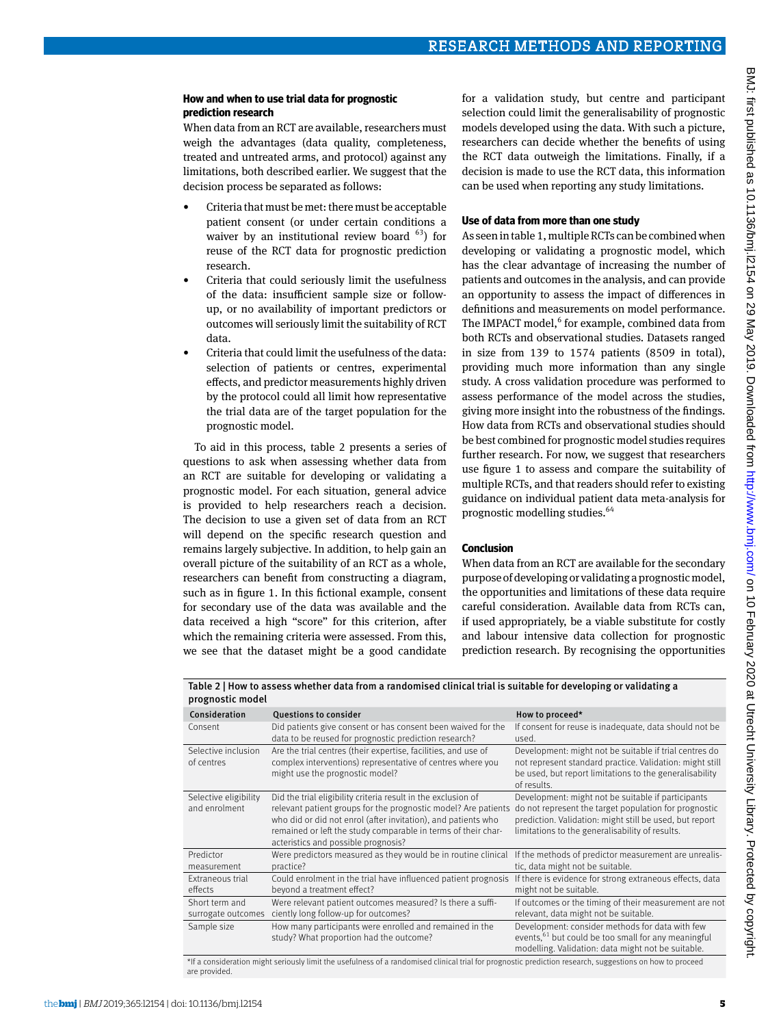#### **How and when to use trial data for prognostic prediction research**

When data from an RCT are available, researchers must weigh the advantages (data quality, completeness, treated and untreated arms, and protocol) against any limitations, both described earlier. We suggest that the decision process be separated as follows:

- Criteria that must be met: there must be acceptable patient consent (or under certain conditions a waiver by an institutional review board  $63$ ) for reuse of the RCT data for prognostic prediction research.
- Criteria that could seriously limit the usefulness of the data: insufficient sample size or followup, or no availability of important predictors or outcomes will seriously limit the suitability of RCT data.
- Criteria that could limit the usefulness of the data: selection of patients or centres, experimental effects, and predictor measurements highly driven by the protocol could all limit how representative the trial data are of the target population for the prognostic model.

To aid in this process, table 2 presents a series of questions to ask when assessing whether data from an RCT are suitable for developing or validating a prognostic model. For each situation, general advice is provided to help researchers reach a decision. The decision to use a given set of data from an RCT will depend on the specific research question and remains largely subjective. In addition, to help gain an overall picture of the suitability of an RCT as a whole, researchers can benefit from constructing a diagram, such as in figure 1. In this fictional example, consent for secondary use of the data was available and the data received a high "score" for this criterion, after which the remaining criteria were assessed. From this, we see that the dataset might be a good candidate

for a validation study, but centre and participant selection could limit the generalisability of prognostic models developed using the data. With such a picture, researchers can decide whether the benefits of using the RCT data outweigh the limitations. Finally, if a decision is made to use the RCT data, this information can be used when reporting any study limitations.

#### **Use of data from more than one study**

As seen in table 1, multiple RCTs can be combined when developing or validating a prognostic model, which has the clear advantage of increasing the number of patients and outcomes in the analysis, and can provide an opportunity to assess the impact of differences in definitions and measurements on model performance. The IMPACT model,<sup>6</sup> for example, combined data from both RCTs and observational studies. Datasets ranged in size from 139 to 1574 patients (8509 in total), providing much more information than any single study. A cross validation procedure was performed to assess performance of the model across the studies, giving more insight into the robustness of the findings. How data from RCTs and observational studies should be best combined for prognostic model studies requires further research. For now, we suggest that researchers use figure 1 to assess and compare the suitability of multiple RCTs, and that readers should refer to existing guidance on individual patient data meta-analysis for prognostic modelling studies.<sup>64</sup>

#### **Conclusion**

When data from an RCT are available for the secondary purpose of developing or validating a prognostic model, the opportunities and limitations of these data require careful consideration. Available data from RCTs can, if used appropriately, be a viable substitute for costly and labour intensive data collection for prognostic prediction research. By recognising the opportunities

| PINING INDUCT |                                        |                                                                                                                                                                                                                                                                                                          |                                                                                                                                                                                                                           |
|---------------|----------------------------------------|----------------------------------------------------------------------------------------------------------------------------------------------------------------------------------------------------------------------------------------------------------------------------------------------------------|---------------------------------------------------------------------------------------------------------------------------------------------------------------------------------------------------------------------------|
|               | Consideration                          | <b>Questions to consider</b>                                                                                                                                                                                                                                                                             | How to proceed*                                                                                                                                                                                                           |
|               | Consent                                | Did patients give consent or has consent been waived for the<br>data to be reused for prognostic prediction research?                                                                                                                                                                                    | If consent for reuse is inadequate, data should not be<br>used.                                                                                                                                                           |
|               | Selective inclusion<br>of centres      | Are the trial centres (their expertise, facilities, and use of<br>complex interventions) representative of centres where you<br>might use the prognostic model?                                                                                                                                          | Development: might not be suitable if trial centres do<br>not represent standard practice. Validation: might still<br>be used, but report limitations to the generalisability<br>of results.                              |
|               | Selective eligibility<br>and enrolment | Did the trial eligibility criteria result in the exclusion of<br>relevant patient groups for the prognostic model? Are patients<br>who did or did not enrol (after invitation), and patients who<br>remained or left the study comparable in terms of their char-<br>acteristics and possible prognosis? | Development: might not be suitable if participants<br>do not represent the target population for prognostic<br>prediction. Validation: might still be used, but report<br>limitations to the generalisability of results. |
|               | Predictor<br>measurement               | Were predictors measured as they would be in routine clinical<br>practice?                                                                                                                                                                                                                               | If the methods of predictor measurement are unrealis-<br>tic, data might not be suitable.                                                                                                                                 |
|               | Extraneous trial<br>effects            | Could enrolment in the trial have influenced patient prognosis<br>beyond a treatment effect?                                                                                                                                                                                                             | If there is evidence for strong extraneous effects, data<br>might not be suitable.                                                                                                                                        |
|               | Short term and<br>surrogate outcomes   | Were relevant patient outcomes measured? Is there a suffi-<br>ciently long follow-up for outcomes?                                                                                                                                                                                                       | If outcomes or the timing of their measurement are not<br>relevant, data might not be suitable.                                                                                                                           |
|               | Sample size                            | How many participants were enrolled and remained in the<br>study? What proportion had the outcome?                                                                                                                                                                                                       | Development: consider methods for data with few<br>events, <sup>61</sup> but could be too small for any meaningful<br>modelling. Validation: data might not be suitable.                                                  |

Table 2 | How to assess whether data from a randomised clinical trial is suitable for developing or validating a prognostic model

\*If a consideration might seriously limit the usefulness of a randomised clinical trial for prognostic prediction research, suggestions on how to proceed are provided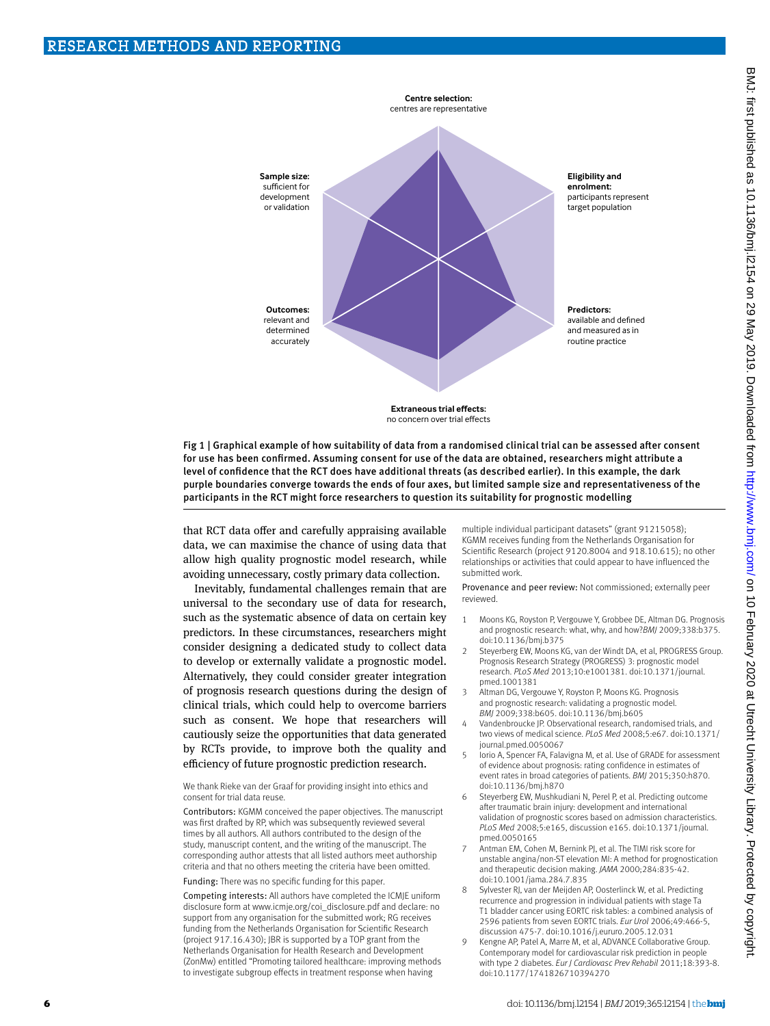

Fig 1 | Graphical example of how suitability of data from a randomised clinical trial can be assessed after consent for use has been confirmed. Assuming consent for use of the data are obtained, researchers might attribute a level of confidence that the RCT does have additional threats (as described earlier). In this example, the dark purple boundaries converge towards the ends of four axes, but limited sample size and representativeness of the participants in the RCT might force researchers to question its suitability for prognostic modelling

that RCT data offer and carefully appraising available data, we can maximise the chance of using data that allow high quality prognostic model research, while avoiding unnecessary, costly primary data collection.

Inevitably, fundamental challenges remain that are universal to the secondary use of data for research, such as the systematic absence of data on certain key predictors. In these circumstances, researchers might consider designing a dedicated study to collect data to develop or externally validate a prognostic model. Alternatively, they could consider greater integration of prognosis research questions during the design of clinical trials, which could help to overcome barriers such as consent. We hope that researchers will cautiously seize the opportunities that data generated by RCTs provide, to improve both the quality and efficiency of future prognostic prediction research.

We thank Rieke van der Graaf for providing insight into ethics and consent for trial data reuse.

Contributors: KGMM conceived the paper objectives. The manuscript was first drafted by RP, which was subsequently reviewed several times by all authors. All authors contributed to the design of the study, manuscript content, and the writing of the manuscript. The corresponding author attests that all listed authors meet authorship criteria and that no others meeting the criteria have been omitted.

Funding: There was no specific funding for this paper.

Competing interests: All authors have completed the ICMJE uniform disclosure form at [www.icmje.org/coi\\_disclosure.pdf](http://www.icmje.org/coi_disclosure.pdf) and declare: no support from any organisation for the submitted work; RG receives funding from the Netherlands Organisation for Scientific Research (project 917.16.430); JBR is supported by a TOP grant from the Netherlands Organisation for Health Research and Development (ZonMw) entitled "Promoting tailored healthcare: improving methods to investigate subgroup effects in treatment response when having

multiple individual participant datasets" (grant 91215058); KGMM receives funding from the Netherlands Organisation for Scientific Research (project 9120.8004 and 918.10.615); no other relationships or activities that could appear to have influenced the submitted work.

Provenance and peer review: Not commissioned; externally peer reviewed.

- 1 Moons KG, Royston P, Vergouwe Y, Grobbee DE, Altman DG. Prognosis and prognostic research: what, why, and how?*BMJ* 2009;338:b375. doi:10.1136/bmj.b375
- 2 Steyerberg EW, Moons KG, van der Windt DA, et al, PROGRESS Group. Prognosis Research Strategy (PROGRESS) 3: prognostic model research. *PLoS Med* 2013;10:e1001381. doi:10.1371/journal. pmed.1001381
- 3 Altman DG, Vergouwe Y, Royston P, Moons KG. Prognosis and prognostic research: validating a prognostic model. *BMJ* 2009;338:b605. doi:10.1136/bmj.b605
- Vandenbroucke JP. Observational research, randomised trials, and two views of medical science. *PLoS Med* 2008;5:e67. doi:10.1371/ journal.pmed.0050067
- 5 Iorio A, Spencer FA, Falavigna M, et al. Use of GRADE for assessment of evidence about prognosis: rating confidence in estimates of event rates in broad categories of patients. *BMJ* 2015;350:h870. doi:10.1136/bmj.h870
- Steyerberg EW, Mushkudiani N, Perel P, et al. Predicting outcome after traumatic brain injury: development and international validation of prognostic scores based on admission characteristics. *PLoS Med* 2008;5:e165, discussion e165. doi:10.1371/journal. pmed.0050165
- 7 Antman EM, Cohen M, Bernink PJ, et al. The TIMI risk score for unstable angina/non-ST elevation MI: A method for prognostication and therapeutic decision making. *JAMA* 2000;284:835-42. doi:10.1001/jama.284.7.835
- 8 Sylvester RJ, van der Meijden AP, Oosterlinck W, et al. Predicting recurrence and progression in individual patients with stage Ta T1 bladder cancer using EORTC risk tables: a combined analysis of 2596 patients from seven EORTC trials. *Eur Urol* 2006;49:466-5, discussion 475-7. doi:10.1016/j.eururo.2005.12.031
- 9 Kengne AP, Patel A, Marre M, et al, ADVANCE Collaborative Group. Contemporary model for cardiovascular risk prediction in people with type 2 diabetes. *Eur J Cardiovasc Prev Rehabil* 2011;18:393-8. doi:10.1177/1741826710394270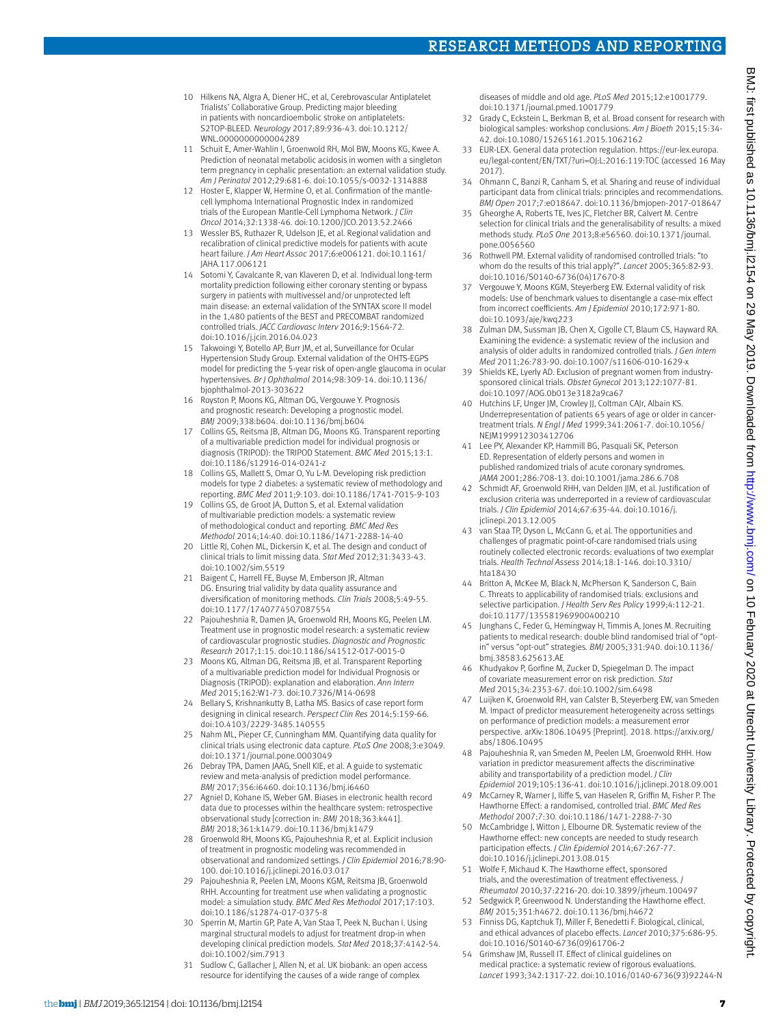# Research Methods and Reporting

- 10 Hilkens NA, Algra A, Diener HC, et al, Cerebrovascular Antiplatelet Trialists' Collaborative Group. Predicting major bleeding in patients with noncardioembolic stroke on antiplatelets: S2TOP-BLEED. *Neurology* 2017;89:936-43. doi:10.1212/ WNL.0000000000004289
- 11 Schuit E, Amer-Wahlin I, Groenwold RH, Mol BW, Moons KG, Kwee A. Prediction of neonatal metabolic acidosis in women with a singleton term pregnancy in cephalic presentation: an external validation study. *Am J Perinatol* 2012;29:681-6. doi:10.1055/s-0032-1314888
- 12 Hoster E, Klapper W, Hermine O, et al. Confirmation of the mantlecell lymphoma International Prognostic Index in randomized trials of the European Mantle-Cell Lymphoma Network. *J Clin Oncol* 2014;32:1338-46. doi:10.1200/JCO.2013.52.2466
- 13 Wessler BS, Ruthazer R, Udelson JE, et al. Regional validation and recalibration of clinical predictive models for patients with acute heart failure. *J Am Heart Assoc* 2017;6:e006121. doi:10.1161/ JAHA.117.006121
- 14 Sotomi Y, Cavalcante R, van Klaveren D, et al. Individual long-term mortality prediction following either coronary stenting or bypass surgery in patients with multivessel and/or unprotected left main disease: an external validation of the SYNTAX score II model in the 1,480 patients of the BEST and PRECOMBAT randomized controlled trials. *JACC Cardiovasc Interv* 2016;9:1564-72. doi:10.1016/j.jcin.2016.04.023
- 15 Takwoingi Y, Botello AP, Burr JM, et al, Surveillance for Ocular Hypertension Study Group. External validation of the OHTS-EGPS model for predicting the 5-year risk of open-angle glaucoma in ocular hypertensives. *Br J Ophthalmol* 2014;98:309-14. doi:10.1136/ bjophthalmol-2013-303622
- Royston P, Moons KG, Altman DG, Vergouwe Y. Prognosis and prognostic research: Developing a prognostic model. *BMJ* 2009;338:b604. doi:10.1136/bmj.b604
- 17 Collins GS, Reitsma JB, Altman DG, Moons KG. Transparent reporting of a multivariable prediction model for individual prognosis or diagnosis (TRIPOD): the TRIPOD Statement. *BMC Med* 2015;13:1. doi:10.1186/s12916-014-0241-z
- 18 Collins GS, Mallett S, Omar O, Yu L-M. Developing risk prediction models for type 2 diabetes: a systematic review of methodology and reporting. *BMC Med* 2011;9:103. doi:10.1186/1741-7015-9-103
- 19 Collins GS, de Groot JA, Dutton S, et al. External validation of multivariable prediction models: a systematic review of methodological conduct and reporting. *BMC Med Res Methodol* 2014;14:40. doi:10.1186/1471-2288-14-40
- 20 Little RJ, Cohen ML, Dickersin K, et al. The design and conduct of clinical trials to limit missing data. *Stat Med* 2012;31:3433-43. doi:10.1002/sim.5519
- 21 Baigent C, Harrell FE, Buyse M, Emberson JR, Altman DG. Ensuring trial validity by data quality assurance and diversification of monitoring methods. *Clin Trials* 2008;5:49-55. doi:10.1177/1740774507087554
- 22 Pajouheshnia R, Damen JA, Groenwold RH, Moons KG, Peelen LM. Treatment use in prognostic model research: a systematic review of cardiovascular prognostic studies. *Diagnostic and Prognostic Research* 2017;1:15. doi:10.1186/s41512-017-0015-0
- 23 Moons KG, Altman DG, Reitsma JB, et al. Transparent Reporting of a multivariable prediction model for Individual Prognosis or Diagnosis (TRIPOD): explanation and elaboration. *Ann Intern Med* 2015;162:W1-73. doi:10.7326/M14-0698
- 24 Bellary S, Krishnankutty B, Latha MS. Basics of case report form designing in clinical research. *Perspect Clin Res* 2014;5:159-66. doi:10.4103/2229-3485.140555
- Nahm ML, Pieper CF, Cunningham MM. Quantifying data quality for clinical trials using electronic data capture. *PLoS One* 2008;3:e3049. doi:10.1371/journal.pone.0003049
- 26 Debray TPA, Damen JAAG, Snell KIE, et al. A guide to systematic review and meta-analysis of prediction model performance. *BMJ* 2017;356:i6460. doi:10.1136/bmj.i6460
- 27 Agniel D, Kohane IS, Weber GM. Biases in electronic health record data due to processes within the healthcare system: retrospective observational study [correction in: *BMJ* 2018;363:k441]. *BMJ* 2018;361:k1479. doi:10.1136/bmj.k1479
- 28 Groenwold RH, Moons KG, Pajouheshnia R, et al. Explicit inclusion of treatment in prognostic modeling was recommended in observational and randomized settings. *J Clin Epidemiol* 2016;78:90- 100. doi:10.1016/j.jclinepi.2016.03.017
- 29 Pajouheshnia R, Peelen LM, Moons KGM, Reitsma JB, Groenwold RHH. Accounting for treatment use when validating a prognostic model: a simulation study. *BMC Med Res Methodol* 2017;17:103. doi:10.1186/s12874-017-0375-8
- Sperrin M, Martin GP, Pate A, Van Staa T, Peek N, Buchan I. Using marginal structural models to adjust for treatment drop-in when developing clinical prediction models. *Stat Med* 2018;37:4142-54. doi:10.1002/sim.7913
- 31 Sudlow C, Gallacher J, Allen N, et al. UK biobank: an open access resource for identifying the causes of a wide range of complex

diseases of middle and old age. *PLoS Med* 2015;12:e1001779. doi:10.1371/journal.pmed.1001779

- 32 Grady C, Eckstein L, Berkman B, et al. Broad consent for research with biological samples: workshop conclusions. *Am J Bioeth* 2015;15:34- 42. doi:10.1080/15265161.2015.1062162
- 33 EUR-LEX. General data protection regulation. [https://eur-lex.europa.](https://eur-lex.europa.eu/legal-content/EN/TXT/?uri=OJ:L:2016:119:TOC) [eu/legal-content/EN/TXT/?uri=OJ:L:2016:119:TOC](https://eur-lex.europa.eu/legal-content/EN/TXT/?uri=OJ:L:2016:119:TOC) (accessed 16 May 2017).
- 34 Ohmann C, Banzi R, Canham S, et al. Sharing and reuse of individual participant data from clinical trials: principles and recommendations. *BMJ Open* 2017;7:e018647. doi:10.1136/bmjopen-2017-018647
- 35 Gheorghe A, Roberts TE, Ives JC, Fletcher BR, Calvert M. Centre selection for clinical trials and the generalisability of results: a mixed methods study. *PLoS One* 2013;8:e56560. doi:10.1371/journal. pone.0056560
- 36 Rothwell PM. External validity of randomised controlled trials: "to whom do the results of this trial apply?". *Lancet* 2005;365:82-93. doi:10.1016/S0140-6736(04)17670-8
- 37 Vergouwe Y, Moons KGM, Steyerberg EW. External validity of risk models: Use of benchmark values to disentangle a case-mix effect from incorrect coefficients. *Am J Epidemiol* 2010;172:971-80. doi:10.1093/aje/kwq223
- 38 Zulman DM, Sussman JB, Chen X, Cigolle CT, Blaum CS, Hayward RA. Examining the evidence: a systematic review of the inclusion and analysis of older adults in randomized controlled trials. *J Gen Intern Med* 2011;26:783-90. doi:10.1007/s11606-010-1629-x
- 39 Shields KE, Lyerly AD. Exclusion of pregnant women from industrysponsored clinical trials. *Obstet Gynecol* 2013;122:1077-81. doi:10.1097/AOG.0b013e3182a9ca67
- 40 Hutchins LF, Unger JM, Crowley JJ, Coltman CAJr, Albain KS. Underrepresentation of patients 65 years of age or older in cancertreatment trials. *N Engl J Med* 1999;341:2061-7. doi:10.1056/ NEJM199912303412706
- 41 Lee PY, Alexander KP, Hammill BG, Pasquali SK, Peterson ED. Representation of elderly persons and women in published randomized trials of acute coronary syndromes. *JAMA* 2001;286:708-13. doi:10.1001/jama.286.6.708
- 42 Schmidt AF, Groenwold RHH, van Delden JJM, et al. Justification of exclusion criteria was underreported in a review of cardiovascular trials. *J Clin Epidemiol* 2014;67:635-44. doi:10.1016/j. jclinepi.2013.12.005
- 43 van Staa TP, Dyson L, McCann G, et al. The opportunities and challenges of pragmatic point-of-care randomised trials using routinely collected electronic records: evaluations of two exemplar trials. *Health Technol Assess* 2014;18:1-146. doi:10.3310/ hta18430
- 44 Britton A, McKee M, Black N, McPherson K, Sanderson C, Bain C. Threats to applicability of randomised trials: exclusions and selective participation. *J Health Serv Res Policy* 1999;4:112-21. doi:10.1177/135581969900400210
- 45 Junghans C, Feder G, Hemingway H, Timmis A, Jones M. Recruiting patients to medical research: double blind randomised trial of "optin" versus "opt-out" strategies. *BMJ* 2005;331:940. doi:10.1136/ bmj.38583.625613.AE
- 46 Khudyakov P, Gorfine M, Zucker D, Spiegelman D. The impact of covariate measurement error on risk prediction. *Stat Med* 2015;34:2353-67. doi:10.1002/sim.6498
- 47 Luijken K, Groenwold RH, van Calster B, Steyerberg EW, van Smeden M. Impact of predictor measurement heterogeneity across settings on performance of prediction models: a measurement error perspective. arXiv:1806.10495 [Preprint]. 2018. [https://arxiv.org/](https://arxiv.org/abs/1806.10495) [abs/1806.10495](https://arxiv.org/abs/1806.10495)
- 48 Pajouheshnia R, van Smeden M, Peelen LM, Groenwold RHH. How variation in predictor measurement affects the discriminative ability and transportability of a prediction model. *J Clin Epidemiol* 2019;105:136-41. doi:10.1016/j.jclinepi.2018.09.001
- 49 McCarney R, Warner J, Iliffe S, van Haselen R, Griffin M, Fisher P. The Hawthorne Effect: a randomised, controlled trial. *BMC Med Res Methodol* 2007;7:30. doi:10.1186/1471-2288-7-30
- McCambridge J, Witton J, Elbourne DR. Systematic review of the Hawthorne effect: new concepts are needed to study research participation effects. *J Clin Epidemiol* 2014;67:267-77. doi:10.1016/j.jclinepi.2013.08.015
- 51 Wolfe F, Michaud K. The Hawthorne effect, sponsored trials, and the overestimation of treatment effectiveness. *J Rheumatol* 2010;37:2216-20. doi:10.3899/jrheum.100497
- 52 Sedgwick P, Greenwood N. Understanding the Hawthorne effect. *BMJ* 2015;351:h4672. doi:10.1136/bmj.h4672
- 53 Finniss DG, Kaptchuk TJ, Miller F, Benedetti F. Biological, clinical, and ethical advances of placebo effects. *Lancet* 2010;375:686-95. doi:10.1016/S0140-6736(09)61706-2
- 54 Grimshaw JM, Russell IT. Effect of clinical guidelines on medical practice: a systematic review of rigorous evaluations. *Lancet* 1993;342:1317-22. doi:10.1016/0140-6736(93)92244-N